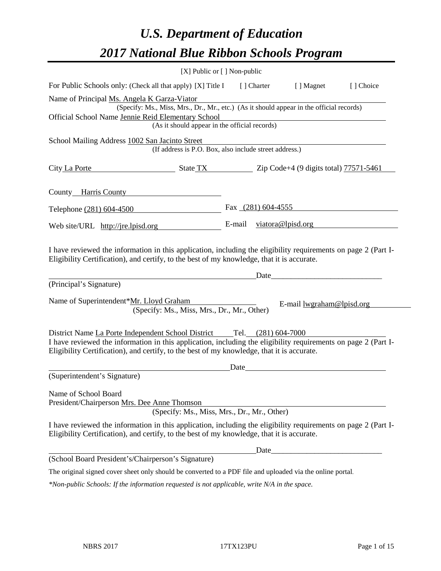# *U.S. Department of Education 2017 National Blue Ribbon Schools Program*

|                                                                                                                                                                                                              | [X] Public or [] Non-public |                      |                           |           |
|--------------------------------------------------------------------------------------------------------------------------------------------------------------------------------------------------------------|-----------------------------|----------------------|---------------------------|-----------|
| For Public Schools only: (Check all that apply) [X] Title I                                                                                                                                                  |                             | [ ] Charter          | [ ] Magnet                | [] Choice |
| Name of Principal Ms. Angela K Garza-Viator                                                                                                                                                                  |                             |                      |                           |           |
| (Specify: Ms., Miss, Mrs., Dr., Mr., etc.) (As it should appear in the official records)                                                                                                                     |                             |                      |                           |           |
| Official School Name Jennie Reid Elementary School                                                                                                                                                           |                             |                      |                           |           |
| (As it should appear in the official records)                                                                                                                                                                |                             |                      |                           |           |
| School Mailing Address 1002 San Jacinto Street<br>(If address is P.O. Box, also include street address.)                                                                                                     |                             |                      |                           |           |
| City La Porte<br>$\frac{1}{2}$ State TX $\frac{1}{2}$ Zip Code+4 (9 digits total) 77571-5461                                                                                                                 |                             |                      |                           |           |
| County Harris County                                                                                                                                                                                         |                             |                      |                           |           |
| Telephone (281) 604-4500                                                                                                                                                                                     |                             | Fax $(281)$ 604-4555 |                           |           |
| Web site/URL http://jre.lpisd.org                                                                                                                                                                            |                             |                      | E-mail viatora@lpisd.org  |           |
| (Principal's Signature)<br>Name of Superintendent*Mr. Lloyd Graham                                                                                                                                           |                             | Date                 |                           |           |
| (Specify: Ms., Miss, Mrs., Dr., Mr., Other)                                                                                                                                                                  |                             |                      | E-mail lwgraham@lpisd.org |           |
| District Name La Porte Independent School District Tel. (281) 604-7000                                                                                                                                       |                             |                      |                           |           |
| I have reviewed the information in this application, including the eligibility requirements on page 2 (Part I-<br>Eligibility Certification), and certify, to the best of my knowledge, that it is accurate. |                             |                      |                           |           |
|                                                                                                                                                                                                              | Date                        |                      |                           |           |
| (Superintendent's Signature)                                                                                                                                                                                 |                             |                      |                           |           |
| Name of School Board                                                                                                                                                                                         |                             |                      |                           |           |
| President/Chairperson Mrs. Dee Anne Thomson<br>(Specify: Ms., Miss, Mrs., Dr., Mr., Other)                                                                                                                   |                             |                      |                           |           |
| I have reviewed the information in this application, including the eligibility requirements on page 2 (Part I-<br>Eligibility Certification), and certify, to the best of my knowledge, that it is accurate. |                             |                      |                           |           |
|                                                                                                                                                                                                              |                             | Date                 |                           |           |
| (School Board President's/Chairperson's Signature)                                                                                                                                                           |                             |                      |                           |           |
| The original signed cover sheet only should be converted to a PDF file and uploaded via the online portal.                                                                                                   |                             |                      |                           |           |
| $*$ Non-public Schools: If the information requested is not applicable, write $N/A$ in the space.                                                                                                            |                             |                      |                           |           |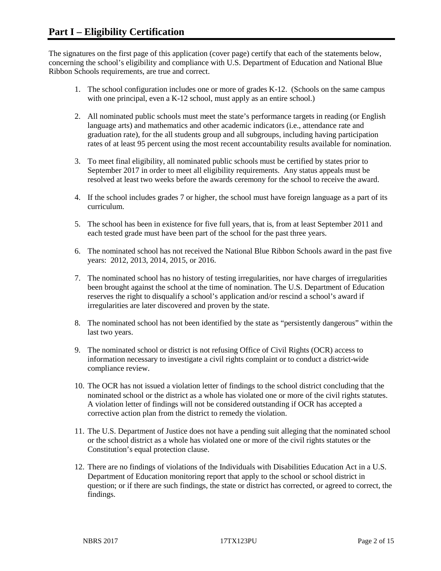The signatures on the first page of this application (cover page) certify that each of the statements below, concerning the school's eligibility and compliance with U.S. Department of Education and National Blue Ribbon Schools requirements, are true and correct.

- 1. The school configuration includes one or more of grades K-12. (Schools on the same campus with one principal, even a K-12 school, must apply as an entire school.)
- 2. All nominated public schools must meet the state's performance targets in reading (or English language arts) and mathematics and other academic indicators (i.e., attendance rate and graduation rate), for the all students group and all subgroups, including having participation rates of at least 95 percent using the most recent accountability results available for nomination.
- 3. To meet final eligibility, all nominated public schools must be certified by states prior to September 2017 in order to meet all eligibility requirements. Any status appeals must be resolved at least two weeks before the awards ceremony for the school to receive the award.
- 4. If the school includes grades 7 or higher, the school must have foreign language as a part of its curriculum.
- 5. The school has been in existence for five full years, that is, from at least September 2011 and each tested grade must have been part of the school for the past three years.
- 6. The nominated school has not received the National Blue Ribbon Schools award in the past five years: 2012, 2013, 2014, 2015, or 2016.
- 7. The nominated school has no history of testing irregularities, nor have charges of irregularities been brought against the school at the time of nomination. The U.S. Department of Education reserves the right to disqualify a school's application and/or rescind a school's award if irregularities are later discovered and proven by the state.
- 8. The nominated school has not been identified by the state as "persistently dangerous" within the last two years.
- 9. The nominated school or district is not refusing Office of Civil Rights (OCR) access to information necessary to investigate a civil rights complaint or to conduct a district-wide compliance review.
- 10. The OCR has not issued a violation letter of findings to the school district concluding that the nominated school or the district as a whole has violated one or more of the civil rights statutes. A violation letter of findings will not be considered outstanding if OCR has accepted a corrective action plan from the district to remedy the violation.
- 11. The U.S. Department of Justice does not have a pending suit alleging that the nominated school or the school district as a whole has violated one or more of the civil rights statutes or the Constitution's equal protection clause.
- 12. There are no findings of violations of the Individuals with Disabilities Education Act in a U.S. Department of Education monitoring report that apply to the school or school district in question; or if there are such findings, the state or district has corrected, or agreed to correct, the findings.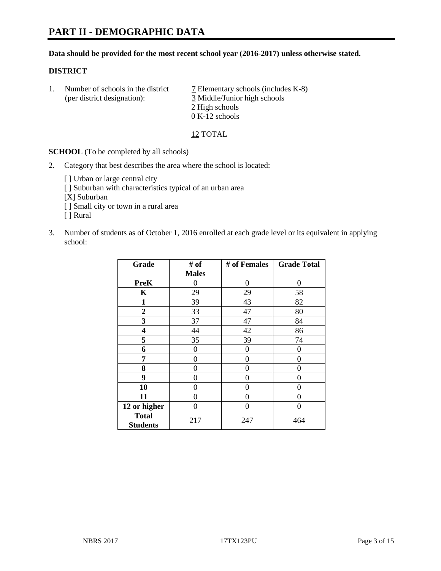#### **Data should be provided for the most recent school year (2016-2017) unless otherwise stated.**

#### **DISTRICT**

1. Number of schools in the district  $\overline{7}$  Elementary schools (includes K-8) (per district designation): 3 Middle/Junior high schools 2 High schools 0 K-12 schools

12 TOTAL

**SCHOOL** (To be completed by all schools)

- 2. Category that best describes the area where the school is located:
	- [] Urban or large central city [ ] Suburban with characteristics typical of an urban area [X] Suburban [ ] Small city or town in a rural area [ ] Rural
- 3. Number of students as of October 1, 2016 enrolled at each grade level or its equivalent in applying school:

| Grade                           | # of         | # of Females | <b>Grade Total</b> |
|---------------------------------|--------------|--------------|--------------------|
|                                 | <b>Males</b> |              |                    |
| <b>PreK</b>                     | 0            | $\theta$     | 0                  |
| K                               | 29           | 29           | 58                 |
| 1                               | 39           | 43           | 82                 |
| $\overline{2}$                  | 33           | 47           | 80                 |
| 3                               | 37           | 47           | 84                 |
| 4                               | 44           | 42           | 86                 |
| 5                               | 35           | 39           | 74                 |
| 6                               | 0            | 0            | 0                  |
| 7                               | 0            | 0            | 0                  |
| 8                               | 0            | 0            | 0                  |
| 9                               | 0            | 0            | 0                  |
| 10                              | $\theta$     | 0            | $\Omega$           |
| 11                              | 0            | 0            | $\mathbf{\Omega}$  |
| 12 or higher                    | 0            | 0            | 0                  |
| <b>Total</b><br><b>Students</b> | 217          | 247          | 464                |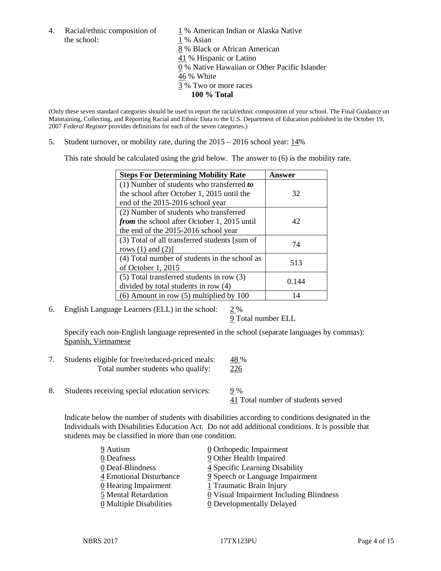the school: 1 % Asian

4. Racial/ethnic composition of  $1\%$  American Indian or Alaska Native 8 % Black or African American 41 % Hispanic or Latino 0 % Native Hawaiian or Other Pacific Islander 46 % White 3 % Two or more races **100 % Total**

(Only these seven standard categories should be used to report the racial/ethnic composition of your school. The Final Guidance on Maintaining, Collecting, and Reporting Racial and Ethnic Data to the U.S. Department of Education published in the October 19, 2007 *Federal Register* provides definitions for each of the seven categories.)

5. Student turnover, or mobility rate, during the 2015 – 2016 school year: 14%

This rate should be calculated using the grid below. The answer to (6) is the mobility rate.

| <b>Steps For Determining Mobility Rate</b>    | Answer |  |
|-----------------------------------------------|--------|--|
| (1) Number of students who transferred to     |        |  |
| the school after October 1, 2015 until the    | 32     |  |
| end of the 2015-2016 school year              |        |  |
| (2) Number of students who transferred        |        |  |
| from the school after October 1, 2015 until   | 42     |  |
| the end of the 2015-2016 school year          |        |  |
| (3) Total of all transferred students [sum of | 74     |  |
| rows $(1)$ and $(2)$ ]                        |        |  |
| (4) Total number of students in the school as | 513    |  |
| of October 1, 2015                            |        |  |
| (5) Total transferred students in row (3)     | 0.144  |  |
| divided by total students in row (4)          |        |  |
| $(6)$ Amount in row $(5)$ multiplied by 100   | 14     |  |

6. English Language Learners (ELL) in the school: 2 %

9 Total number ELL

Specify each non-English language represented in the school (separate languages by commas): Spanish, Vietnamese

- 7. Students eligible for free/reduced-priced meals: 48 % Total number students who qualify: 226
- 8. Students receiving special education services: 9 %

41 Total number of students served

Indicate below the number of students with disabilities according to conditions designated in the Individuals with Disabilities Education Act. Do not add additional conditions. It is possible that students may be classified in more than one condition.

| 9 Autism                              | $\underline{0}$ Orthopedic Impairment                 |
|---------------------------------------|-------------------------------------------------------|
| 0 Deafness                            | 9 Other Health Impaired                               |
| 0 Deaf-Blindness                      | 4 Specific Learning Disability                        |
| 4 Emotional Disturbance               | 9 Speech or Language Impairment                       |
| $\underline{0}$ Hearing Impairment    | 1 Traumatic Brain Injury                              |
| 5 Mental Retardation                  | $\underline{0}$ Visual Impairment Including Blindness |
| $\underline{0}$ Multiple Disabilities | <b>0</b> Developmentally Delayed                      |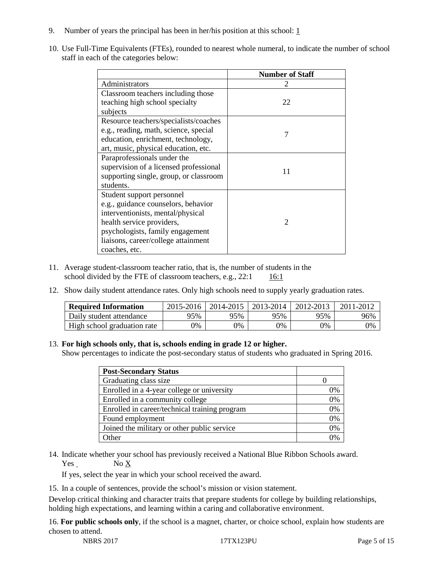- 9. Number of years the principal has been in her/his position at this school:  $1$
- 10. Use Full-Time Equivalents (FTEs), rounded to nearest whole numeral, to indicate the number of school staff in each of the categories below:

|                                        | <b>Number of Staff</b> |
|----------------------------------------|------------------------|
| Administrators                         |                        |
| Classroom teachers including those     |                        |
| teaching high school specialty         | 22                     |
| subjects                               |                        |
| Resource teachers/specialists/coaches  |                        |
| e.g., reading, math, science, special  | 7                      |
| education, enrichment, technology,     |                        |
| art, music, physical education, etc.   |                        |
| Paraprofessionals under the            |                        |
| supervision of a licensed professional | 11                     |
| supporting single, group, or classroom |                        |
| students.                              |                        |
| Student support personnel              |                        |
| e.g., guidance counselors, behavior    |                        |
| interventionists, mental/physical      |                        |
| health service providers,              | $\mathcal{D}$          |
| psychologists, family engagement       |                        |
| liaisons, career/college attainment    |                        |
| coaches, etc.                          |                        |

- 11. Average student-classroom teacher ratio, that is, the number of students in the school divided by the FTE of classroom teachers, e.g.,  $22:1$  16:1
- 12. Show daily student attendance rates. Only high schools need to supply yearly graduation rates.

| <b>Required Information</b> | 2015-2016 | 2014-2015 | 2013-2014 | 2012-2013 | 2011-2012 |
|-----------------------------|-----------|-----------|-----------|-----------|-----------|
| Daily student attendance    | 95%       | 95%       | 95%       | 95%       | 96%       |
| High school graduation rate | 0%        | 0%        | 0%        | 9%        | 0%        |

#### 13. **For high schools only, that is, schools ending in grade 12 or higher.**

Show percentages to indicate the post-secondary status of students who graduated in Spring 2016.

| <b>Post-Secondary Status</b>                  |    |
|-----------------------------------------------|----|
| Graduating class size                         |    |
| Enrolled in a 4-year college or university    | 0% |
| Enrolled in a community college               | 0% |
| Enrolled in career/technical training program | 0% |
| Found employment                              | 0% |
| Joined the military or other public service   | 0% |
| )ther                                         |    |

14. Indicate whether your school has previously received a National Blue Ribbon Schools award. Yes No X

If yes, select the year in which your school received the award.

15. In a couple of sentences, provide the school's mission or vision statement.

Develop critical thinking and character traits that prepare students for college by building relationships, holding high expectations, and learning within a caring and collaborative environment.

16. **For public schools only**, if the school is a magnet, charter, or choice school, explain how students are chosen to attend.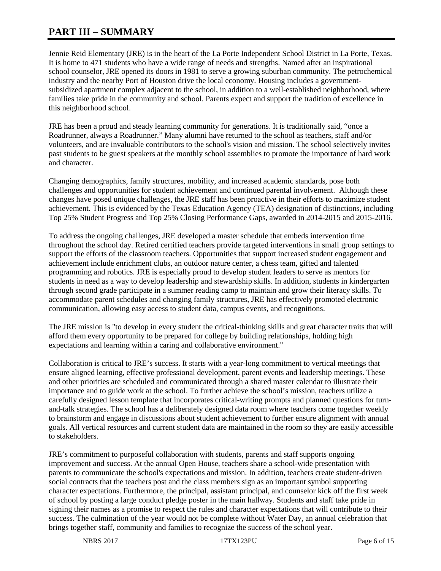# **PART III – SUMMARY**

Jennie Reid Elementary (JRE) is in the heart of the La Porte Independent School District in La Porte, Texas. It is home to 471 students who have a wide range of needs and strengths. Named after an inspirational school counselor, JRE opened its doors in 1981 to serve a growing suburban community. The petrochemical industry and the nearby Port of Houston drive the local economy. Housing includes a governmentsubsidized apartment complex adjacent to the school, in addition to a well-established neighborhood, where families take pride in the community and school. Parents expect and support the tradition of excellence in this neighborhood school.

JRE has been a proud and steady learning community for generations. It is traditionally said, "once a Roadrunner, always a Roadrunner." Many alumni have returned to the school as teachers, staff and/or volunteers, and are invaluable contributors to the school's vision and mission. The school selectively invites past students to be guest speakers at the monthly school assemblies to promote the importance of hard work and character.

Changing demographics, family structures, mobility, and increased academic standards, pose both challenges and opportunities for student achievement and continued parental involvement. Although these changes have posed unique challenges, the JRE staff has been proactive in their efforts to maximize student achievement. This is evidenced by the Texas Education Agency (TEA) designation of distinctions, including Top 25% Student Progress and Top 25% Closing Performance Gaps, awarded in 2014-2015 and 2015-2016.

To address the ongoing challenges, JRE developed a master schedule that embeds intervention time throughout the school day. Retired certified teachers provide targeted interventions in small group settings to support the efforts of the classroom teachers. Opportunities that support increased student engagement and achievement include enrichment clubs, an outdoor nature center, a chess team, gifted and talented programming and robotics. JRE is especially proud to develop student leaders to serve as mentors for students in need as a way to develop leadership and stewardship skills. In addition, students in kindergarten through second grade participate in a summer reading camp to maintain and grow their literacy skills. To accommodate parent schedules and changing family structures, JRE has effectively promoted electronic communication, allowing easy access to student data, campus events, and recognitions.

The JRE mission is "to develop in every student the critical-thinking skills and great character traits that will afford them every opportunity to be prepared for college by building relationships, holding high expectations and learning within a caring and collaborative environment."

Collaboration is critical to JRE's success. It starts with a year-long commitment to vertical meetings that ensure aligned learning, effective professional development, parent events and leadership meetings. These and other priorities are scheduled and communicated through a shared master calendar to illustrate their importance and to guide work at the school. To further achieve the school's mission, teachers utilize a carefully designed lesson template that incorporates critical-writing prompts and planned questions for turnand-talk strategies. The school has a deliberately designed data room where teachers come together weekly to brainstorm and engage in discussions about student achievement to further ensure alignment with annual goals. All vertical resources and current student data are maintained in the room so they are easily accessible to stakeholders.

JRE's commitment to purposeful collaboration with students, parents and staff supports ongoing improvement and success. At the annual Open House, teachers share a school-wide presentation with parents to communicate the school's expectations and mission. In addition, teachers create student-driven social contracts that the teachers post and the class members sign as an important symbol supporting character expectations. Furthermore, the principal, assistant principal, and counselor kick off the first week of school by posting a large conduct pledge poster in the main hallway. Students and staff take pride in signing their names as a promise to respect the rules and character expectations that will contribute to their success. The culmination of the year would not be complete without Water Day, an annual celebration that brings together staff, community and families to recognize the success of the school year.

NBRS 2017 17TX123PU Page 6 of 15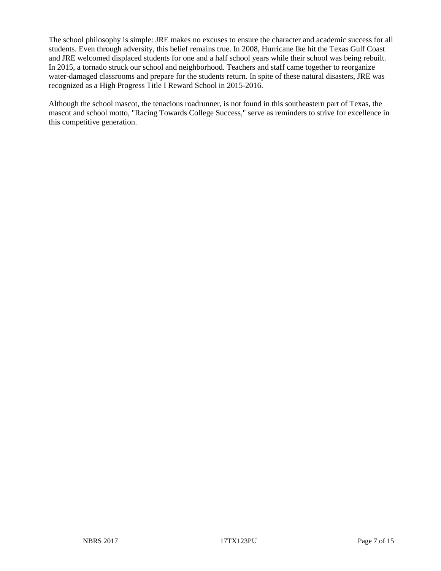The school philosophy is simple: JRE makes no excuses to ensure the character and academic success for all students. Even through adversity, this belief remains true. In 2008, Hurricane Ike hit the Texas Gulf Coast and JRE welcomed displaced students for one and a half school years while their school was being rebuilt. In 2015, a tornado struck our school and neighborhood. Teachers and staff came together to reorganize water-damaged classrooms and prepare for the students return. In spite of these natural disasters, JRE was recognized as a High Progress Title I Reward School in 2015-2016.

Although the school mascot, the tenacious roadrunner, is not found in this southeastern part of Texas, the mascot and school motto, "Racing Towards College Success," serve as reminders to strive for excellence in this competitive generation.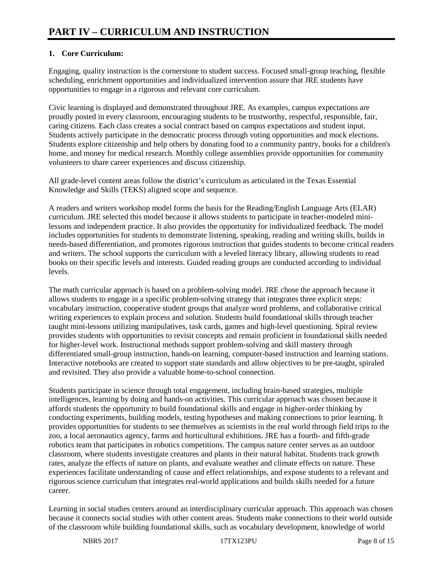## **1. Core Curriculum:**

Engaging, quality instruction is the cornerstone to student success. Focused small-group teaching, flexible scheduling, enrichment opportunities and individualized intervention assure that JRE students have opportunities to engage in a rigorous and relevant core curriculum.

Civic learning is displayed and demonstrated throughout JRE. As examples, campus expectations are proudly posted in every classroom, encouraging students to be trustworthy, respectful, responsible, fair, caring citizens. Each class creates a social contract based on campus expectations and student input. Students actively participate in the democratic process through voting opportunities and mock elections. Students explore citizenship and help others by donating food to a community pantry, books for a children's home, and money for medical research. Monthly college assemblies provide opportunities for community volunteers to share career experiences and discuss citizenship.

All grade-level content areas follow the district's curriculum as articulated in the Texas Essential Knowledge and Skills (TEKS) aligned scope and sequence.

A readers and writers workshop model forms the basis for the Reading/English Language Arts (ELAR) curriculum. JRE selected this model because it allows students to participate in teacher-modeled minilessons and independent practice. It also provides the opportunity for individualized feedback. The model includes opportunities for students to demonstrate listening, speaking, reading and writing skills, builds in needs-based differentiation, and promotes rigorous instruction that guides students to become critical readers and writers. The school supports the curriculum with a leveled literacy library, allowing students to read books on their specific levels and interests. Guided reading groups are conducted according to individual levels.

The math curricular approach is based on a problem-solving model. JRE chose the approach because it allows students to engage in a specific problem-solving strategy that integrates three explicit steps: vocabulary instruction, cooperative student groups that analyze word problems, and collaborative critical writing experiences to explain process and solution. Students build foundational skills through teacher taught mini-lessons utilizing manipulatives, task cards, games and high-level questioning. Spiral review provides students with opportunities to revisit concepts and remain proficient in foundational skills needed for higher-level work. Instructional methods support problem-solving and skill mastery through differentiated small-group instruction, hands-on learning, computer-based instruction and learning stations. Interactive notebooks are created to support state standards and allow objectives to be pre-taught, spiraled and revisited. They also provide a valuable home-to-school connection.

Students participate in science through total engagement, including brain-based strategies, multiple intelligences, learning by doing and hands-on activities. This curricular approach was chosen because it affords students the opportunity to build foundational skills and engage in higher-order thinking by conducting experiments, building models, testing hypotheses and making connections to prior learning. It provides opportunities for students to see themselves as scientists in the real world through field trips to the zoo, a local aeronautics agency, farms and horticultural exhibitions. JRE has a fourth- and fifth-grade robotics team that participates in robotics competitions. The campus nature center serves as an outdoor classroom, where students investigate creatures and plants in their natural habitat. Students track growth rates, analyze the effects of nature on plants, and evaluate weather and climate effects on nature. These experiences facilitate understanding of cause and effect relationships, and expose students to a relevant and rigorous science curriculum that integrates real-world applications and builds skills needed for a future career.

Learning in social studies centers around an interdisciplinary curricular approach. This approach was chosen because it connects social studies with other content areas. Students make connections to their world outside of the classroom while building foundational skills, such as vocabulary development, knowledge of world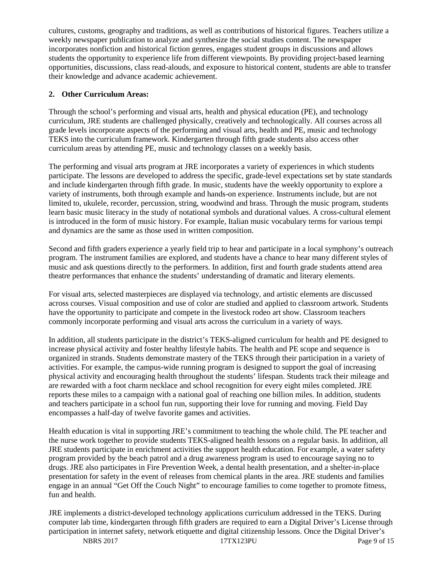cultures, customs, geography and traditions, as well as contributions of historical figures. Teachers utilize a weekly newspaper publication to analyze and synthesize the social studies content. The newspaper incorporates nonfiction and historical fiction genres, engages student groups in discussions and allows students the opportunity to experience life from different viewpoints. By providing project-based learning opportunities, discussions, class read-alouds, and exposure to historical content, students are able to transfer their knowledge and advance academic achievement.

## **2. Other Curriculum Areas:**

Through the school's performing and visual arts, health and physical education (PE), and technology curriculum, JRE students are challenged physically, creatively and technologically. All courses across all grade levels incorporate aspects of the performing and visual arts, health and PE, music and technology TEKS into the curriculum framework. Kindergarten through fifth grade students also access other curriculum areas by attending PE, music and technology classes on a weekly basis.

The performing and visual arts program at JRE incorporates a variety of experiences in which students participate. The lessons are developed to address the specific, grade-level expectations set by state standards and include kindergarten through fifth grade. In music, students have the weekly opportunity to explore a variety of instruments, both through example and hands-on experience. Instruments include, but are not limited to, ukulele, recorder, percussion, string, woodwind and brass. Through the music program, students learn basic music literacy in the study of notational symbols and durational values. A cross-cultural element is introduced in the form of music history. For example, Italian music vocabulary terms for various tempi and dynamics are the same as those used in written composition.

Second and fifth graders experience a yearly field trip to hear and participate in a local symphony's outreach program. The instrument families are explored, and students have a chance to hear many different styles of music and ask questions directly to the performers. In addition, first and fourth grade students attend area theatre performances that enhance the students' understanding of dramatic and literary elements.

For visual arts, selected masterpieces are displayed via technology, and artistic elements are discussed across courses. Visual composition and use of color are studied and applied to classroom artwork. Students have the opportunity to participate and compete in the livestock rodeo art show. Classroom teachers commonly incorporate performing and visual arts across the curriculum in a variety of ways.

In addition, all students participate in the district's TEKS-aligned curriculum for health and PE designed to increase physical activity and foster healthy lifestyle habits. The health and PE scope and sequence is organized in strands. Students demonstrate mastery of the TEKS through their participation in a variety of activities. For example, the campus-wide running program is designed to support the goal of increasing physical activity and encouraging health throughout the students' lifespan. Students track their mileage and are rewarded with a foot charm necklace and school recognition for every eight miles completed. JRE reports these miles to a campaign with a national goal of reaching one billion miles. In addition, students and teachers participate in a school fun run, supporting their love for running and moving. Field Day encompasses a half-day of twelve favorite games and activities.

Health education is vital in supporting JRE's commitment to teaching the whole child. The PE teacher and the nurse work together to provide students TEKS-aligned health lessons on a regular basis. In addition, all JRE students participate in enrichment activities the support health education. For example, a water safety program provided by the beach patrol and a drug awareness program is used to encourage saying no to drugs. JRE also participates in Fire Prevention Week, a dental health presentation, and a shelter-in-place presentation for safety in the event of releases from chemical plants in the area. JRE students and families engage in an annual "Get Off the Couch Night" to encourage families to come together to promote fitness, fun and health.

JRE implements a district-developed technology applications curriculum addressed in the TEKS. During computer lab time, kindergarten through fifth graders are required to earn a Digital Driver's License through participation in internet safety, network etiquette and digital citizenship lessons. Once the Digital Driver's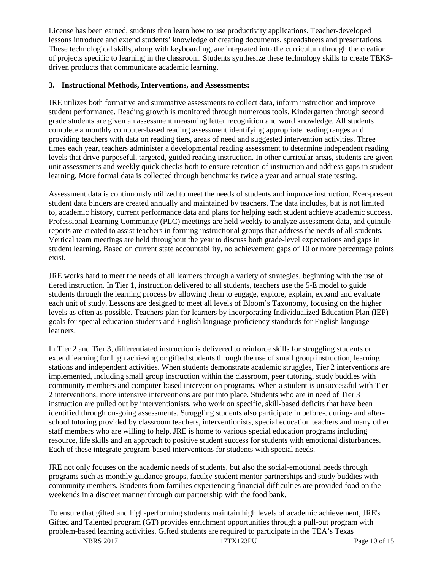License has been earned, students then learn how to use productivity applications. Teacher-developed lessons introduce and extend students' knowledge of creating documents, spreadsheets and presentations. These technological skills, along with keyboarding, are integrated into the curriculum through the creation of projects specific to learning in the classroom. Students synthesize these technology skills to create TEKSdriven products that communicate academic learning.

#### **3. Instructional Methods, Interventions, and Assessments:**

JRE utilizes both formative and summative assessments to collect data, inform instruction and improve student performance. Reading growth is monitored through numerous tools. Kindergarten through second grade students are given an assessment measuring letter recognition and word knowledge. All students complete a monthly computer-based reading assessment identifying appropriate reading ranges and providing teachers with data on reading tiers, areas of need and suggested intervention activities. Three times each year, teachers administer a developmental reading assessment to determine independent reading levels that drive purposeful, targeted, guided reading instruction. In other curricular areas, students are given unit assessments and weekly quick checks both to ensure retention of instruction and address gaps in student learning. More formal data is collected through benchmarks twice a year and annual state testing.

Assessment data is continuously utilized to meet the needs of students and improve instruction. Ever-present student data binders are created annually and maintained by teachers. The data includes, but is not limited to, academic history, current performance data and plans for helping each student achieve academic success. Professional Learning Community (PLC) meetings are held weekly to analyze assessment data, and quintile reports are created to assist teachers in forming instructional groups that address the needs of all students. Vertical team meetings are held throughout the year to discuss both grade-level expectations and gaps in student learning. Based on current state accountability, no achievement gaps of 10 or more percentage points exist.

JRE works hard to meet the needs of all learners through a variety of strategies, beginning with the use of tiered instruction. In Tier 1, instruction delivered to all students, teachers use the 5-E model to guide students through the learning process by allowing them to engage, explore, explain, expand and evaluate each unit of study. Lessons are designed to meet all levels of Bloom's Taxonomy, focusing on the higher levels as often as possible. Teachers plan for learners by incorporating Individualized Education Plan (IEP) goals for special education students and English language proficiency standards for English language learners.

In Tier 2 and Tier 3, differentiated instruction is delivered to reinforce skills for struggling students or extend learning for high achieving or gifted students through the use of small group instruction, learning stations and independent activities. When students demonstrate academic struggles, Tier 2 interventions are implemented, including small group instruction within the classroom, peer tutoring, study buddies with community members and computer-based intervention programs. When a student is unsuccessful with Tier 2 interventions, more intensive interventions are put into place. Students who are in need of Tier 3 instruction are pulled out by interventionists, who work on specific, skill-based deficits that have been identified through on-going assessments. Struggling students also participate in before-, during- and afterschool tutoring provided by classroom teachers, interventionists, special education teachers and many other staff members who are willing to help. JRE is home to various special education programs including resource, life skills and an approach to positive student success for students with emotional disturbances. Each of these integrate program-based interventions for students with special needs.

JRE not only focuses on the academic needs of students, but also the social-emotional needs through programs such as monthly guidance groups, faculty-student mentor partnerships and study buddies with community members. Students from families experiencing financial difficulties are provided food on the weekends in a discreet manner through our partnership with the food bank.

To ensure that gifted and high-performing students maintain high levels of academic achievement, JRE's Gifted and Talented program (GT) provides enrichment opportunities through a pull-out program with problem-based learning activities. Gifted students are required to participate in the TEA's Texas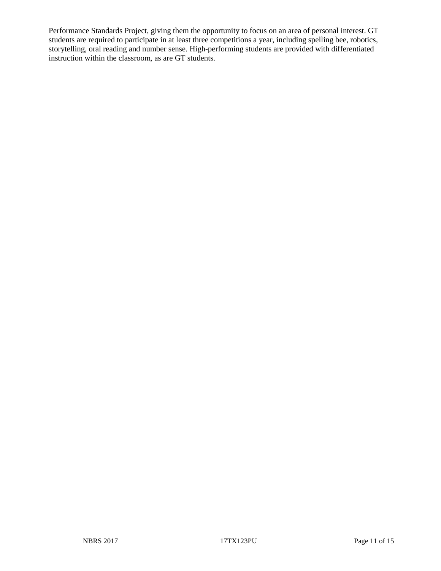Performance Standards Project, giving them the opportunity to focus on an area of personal interest. GT students are required to participate in at least three competitions a year, including spelling bee, robotics, storytelling, oral reading and number sense. High-performing students are provided with differentiated instruction within the classroom, as are GT students.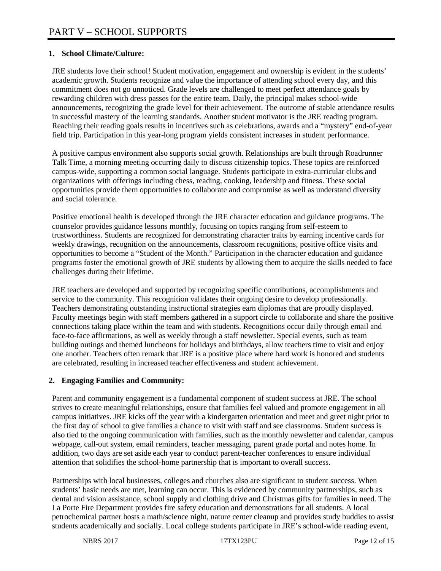## **1. School Climate/Culture:**

JRE students love their school! Student motivation, engagement and ownership is evident in the students' academic growth. Students recognize and value the importance of attending school every day, and this commitment does not go unnoticed. Grade levels are challenged to meet perfect attendance goals by rewarding children with dress passes for the entire team. Daily, the principal makes school-wide announcements, recognizing the grade level for their achievement. The outcome of stable attendance results in successful mastery of the learning standards. Another student motivator is the JRE reading program. Reaching their reading goals results in incentives such as celebrations, awards and a "mystery" end-of-year field trip. Participation in this year-long program yields consistent increases in student performance.

A positive campus environment also supports social growth. Relationships are built through Roadrunner Talk Time, a morning meeting occurring daily to discuss citizenship topics. These topics are reinforced campus-wide, supporting a common social language. Students participate in extra-curricular clubs and organizations with offerings including chess, reading, cooking, leadership and fitness. These social opportunities provide them opportunities to collaborate and compromise as well as understand diversity and social tolerance.

Positive emotional health is developed through the JRE character education and guidance programs. The counselor provides guidance lessons monthly, focusing on topics ranging from self-esteem to trustworthiness. Students are recognized for demonstrating character traits by earning incentive cards for weekly drawings, recognition on the announcements, classroom recognitions, positive office visits and opportunities to become a "Student of the Month." Participation in the character education and guidance programs foster the emotional growth of JRE students by allowing them to acquire the skills needed to face challenges during their lifetime.

JRE teachers are developed and supported by recognizing specific contributions, accomplishments and service to the community. This recognition validates their ongoing desire to develop professionally. Teachers demonstrating outstanding instructional strategies earn diplomas that are proudly displayed. Faculty meetings begin with staff members gathered in a support circle to collaborate and share the positive connections taking place within the team and with students. Recognitions occur daily through email and face-to-face affirmations, as well as weekly through a staff newsletter. Special events, such as team building outings and themed luncheons for holidays and birthdays, allow teachers time to visit and enjoy one another. Teachers often remark that JRE is a positive place where hard work is honored and students are celebrated, resulting in increased teacher effectiveness and student achievement.

# **2. Engaging Families and Community:**

Parent and community engagement is a fundamental component of student success at JRE. The school strives to create meaningful relationships, ensure that families feel valued and promote engagement in all campus initiatives. JRE kicks off the year with a kindergarten orientation and meet and greet night prior to the first day of school to give families a chance to visit with staff and see classrooms. Student success is also tied to the ongoing communication with families, such as the monthly newsletter and calendar, campus webpage, call-out system, email reminders, teacher messaging, parent grade portal and notes home. In addition, two days are set aside each year to conduct parent-teacher conferences to ensure individual attention that solidifies the school-home partnership that is important to overall success.

Partnerships with local businesses, colleges and churches also are significant to student success. When students' basic needs are met, learning can occur. This is evidenced by community partnerships, such as dental and vision assistance, school supply and clothing drive and Christmas gifts for families in need. The La Porte Fire Department provides fire safety education and demonstrations for all students. A local petrochemical partner hosts a math/science night, nature center cleanup and provides study buddies to assist students academically and socially. Local college students participate in JRE's school-wide reading event,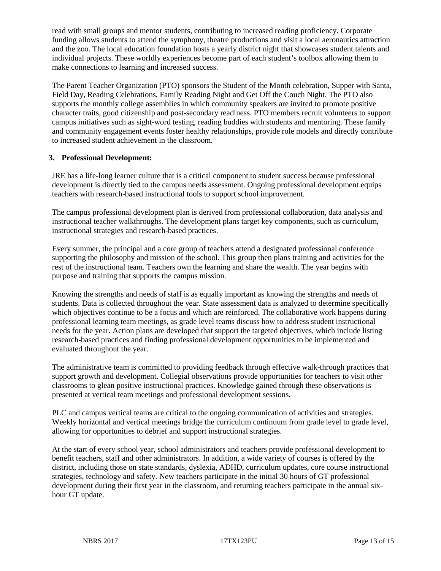read with small groups and mentor students, contributing to increased reading proficiency. Corporate funding allows students to attend the symphony, theatre productions and visit a local aeronautics attraction and the zoo. The local education foundation hosts a yearly district night that showcases student talents and individual projects. These worldly experiences become part of each student's toolbox allowing them to make connections to learning and increased success.

The Parent Teacher Organization (PTO) sponsors the Student of the Month celebration, Supper with Santa, Field Day, Reading Celebrations, Family Reading Night and Get Off the Couch Night. The PTO also supports the monthly college assemblies in which community speakers are invited to promote positive character traits, good citizenship and post-secondary readiness. PTO members recruit volunteers to support campus initiatives such as sight-word testing, reading buddies with students and mentoring. These family and community engagement events foster healthy relationships, provide role models and directly contribute to increased student achievement in the classroom.

#### **3. Professional Development:**

JRE has a life-long learner culture that is a critical component to student success because professional development is directly tied to the campus needs assessment. Ongoing professional development equips teachers with research-based instructional tools to support school improvement.

The campus professional development plan is derived from professional collaboration, data analysis and instructional teacher walkthroughs. The development plans target key components, such as curriculum, instructional strategies and research-based practices.

Every summer, the principal and a core group of teachers attend a designated professional conference supporting the philosophy and mission of the school. This group then plans training and activities for the rest of the instructional team. Teachers own the learning and share the wealth. The year begins with purpose and training that supports the campus mission.

Knowing the strengths and needs of staff is as equally important as knowing the strengths and needs of students. Data is collected throughout the year. State assessment data is analyzed to determine specifically which objectives continue to be a focus and which are reinforced. The collaborative work happens during professional learning team meetings, as grade level teams discuss how to address student instructional needs for the year. Action plans are developed that support the targeted objectives, which include listing research-based practices and finding professional development opportunities to be implemented and evaluated throughout the year.

The administrative team is committed to providing feedback through effective walk-through practices that support growth and development. Collegial observations provide opportunities for teachers to visit other classrooms to glean positive instructional practices. Knowledge gained through these observations is presented at vertical team meetings and professional development sessions.

PLC and campus vertical teams are critical to the ongoing communication of activities and strategies. Weekly horizontal and vertical meetings bridge the curriculum continuum from grade level to grade level, allowing for opportunities to debrief and support instructional strategies.

At the start of every school year, school administrators and teachers provide professional development to benefit teachers, staff and other administrators. In addition, a wide variety of courses is offered by the district, including those on state standards, dyslexia, ADHD, curriculum updates, core course instructional strategies, technology and safety. New teachers participate in the initial 30 hours of GT professional development during their first year in the classroom, and returning teachers participate in the annual sixhour GT update.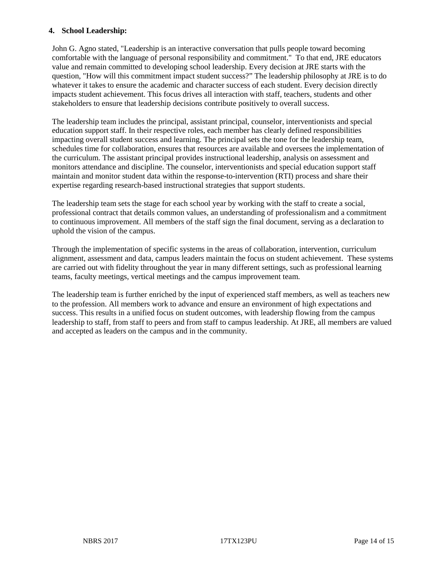#### **4. School Leadership:**

John G. Agno stated, "Leadership is an interactive conversation that pulls people toward becoming comfortable with the language of personal responsibility and commitment." To that end, JRE educators value and remain committed to developing school leadership. Every decision at JRE starts with the question, "How will this commitment impact student success?" The leadership philosophy at JRE is to do whatever it takes to ensure the academic and character success of each student. Every decision directly impacts student achievement. This focus drives all interaction with staff, teachers, students and other stakeholders to ensure that leadership decisions contribute positively to overall success.

The leadership team includes the principal, assistant principal, counselor, interventionists and special education support staff. In their respective roles, each member has clearly defined responsibilities impacting overall student success and learning. The principal sets the tone for the leadership team, schedules time for collaboration, ensures that resources are available and oversees the implementation of the curriculum. The assistant principal provides instructional leadership, analysis on assessment and monitors attendance and discipline. The counselor, interventionists and special education support staff maintain and monitor student data within the response-to-intervention (RTI) process and share their expertise regarding research-based instructional strategies that support students.

The leadership team sets the stage for each school year by working with the staff to create a social, professional contract that details common values, an understanding of professionalism and a commitment to continuous improvement. All members of the staff sign the final document, serving as a declaration to uphold the vision of the campus.

Through the implementation of specific systems in the areas of collaboration, intervention, curriculum alignment, assessment and data, campus leaders maintain the focus on student achievement. These systems are carried out with fidelity throughout the year in many different settings, such as professional learning teams, faculty meetings, vertical meetings and the campus improvement team.

The leadership team is further enriched by the input of experienced staff members, as well as teachers new to the profession. All members work to advance and ensure an environment of high expectations and success. This results in a unified focus on student outcomes, with leadership flowing from the campus leadership to staff, from staff to peers and from staff to campus leadership. At JRE, all members are valued and accepted as leaders on the campus and in the community.